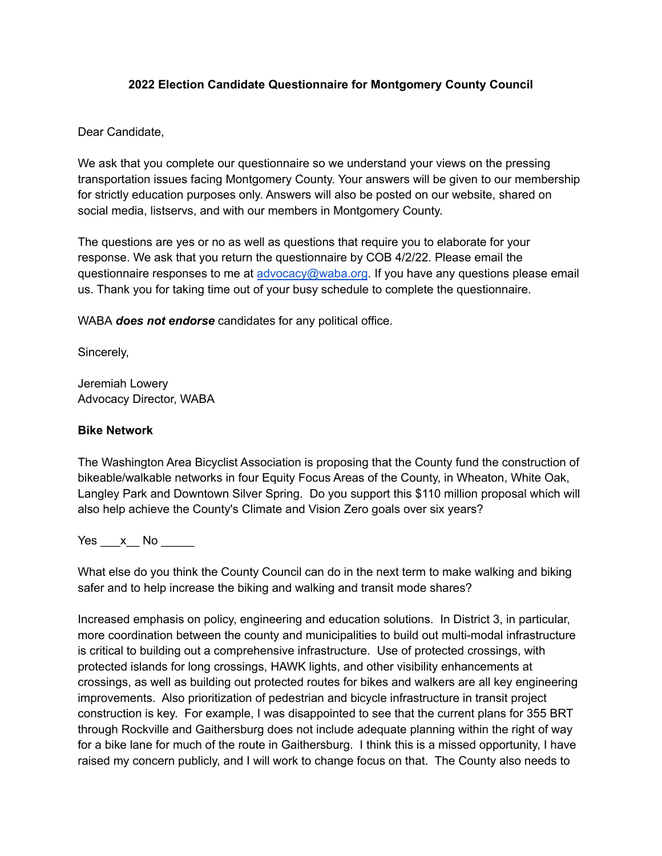#### **2022 Election Candidate Questionnaire for Montgomery County Council**

#### Dear Candidate,

We ask that you complete our questionnaire so we understand your views on the pressing transportation issues facing Montgomery County. Your answers will be given to our membership for strictly education purposes only. Answers will also be posted on our website, shared on social media, listservs, and with our members in Montgomery County.

The questions are yes or no as well as questions that require you to elaborate for your response. We ask that you return the questionnaire by COB 4/2/22. Please email the questionnaire responses to me at [advocacy@waba.org](mailto:advocacy@waba.org). If you have any questions please email us. Thank you for taking time out of your busy schedule to complete the questionnaire.

WABA *does not endorse* candidates for any political office.

Sincerely,

Jeremiah Lowery Advocacy Director, WABA

#### **Bike Network**

The Washington Area Bicyclist Association is proposing that the County fund the construction of bikeable/walkable networks in four Equity Focus Areas of the County, in Wheaton, White Oak, Langley Park and Downtown Silver Spring. Do you support this \$110 million proposal which will also help achieve the County's Climate and Vision Zero goals over six years?

Yes x No  $\blacksquare$ 

What else do you think the County Council can do in the next term to make walking and biking safer and to help increase the biking and walking and transit mode shares?

Increased emphasis on policy, engineering and education solutions. In District 3, in particular, more coordination between the county and municipalities to build out multi-modal infrastructure is critical to building out a comprehensive infrastructure. Use of protected crossings, with protected islands for long crossings, HAWK lights, and other visibility enhancements at crossings, as well as building out protected routes for bikes and walkers are all key engineering improvements. Also prioritization of pedestrian and bicycle infrastructure in transit project construction is key. For example, I was disappointed to see that the current plans for 355 BRT through Rockville and Gaithersburg does not include adequate planning within the right of way for a bike lane for much of the route in Gaithersburg. I think this is a missed opportunity, I have raised my concern publicly, and I will work to change focus on that. The County also needs to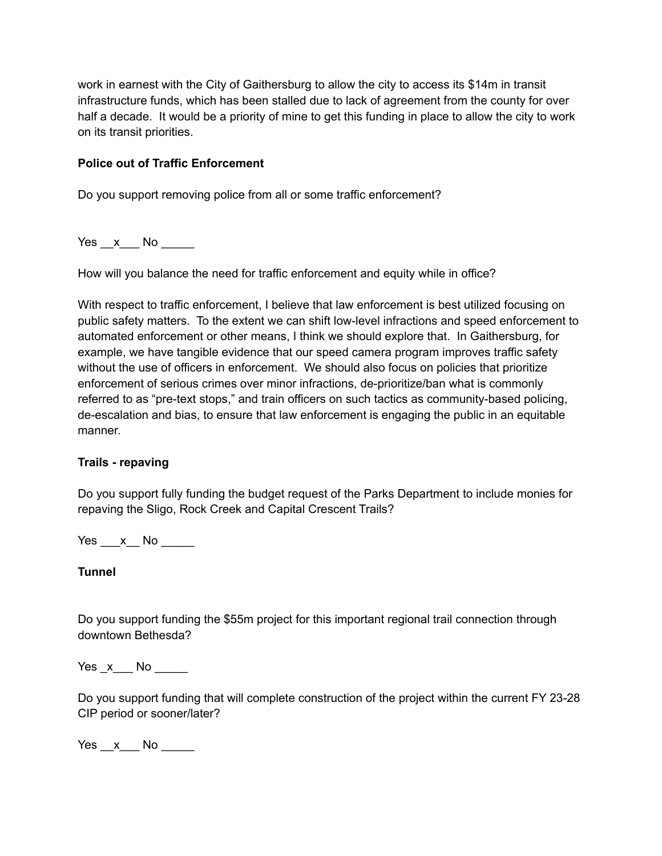work in earnest with the City of Gaithersburg to allow the city to access its \$14m in transit infrastructure funds, which has been stalled due to lack of agreement from the county for over half a decade. It would be a priority of mine to get this funding in place to allow the city to work on its transit priorities.

## **Police out of Traffic Enforcement**

Do you support removing police from all or some traffic enforcement?

 $Yes \_\ x \_\$  No  $\_\_\_\$ 

How will you balance the need for traffic enforcement and equity while in office?

With respect to traffic enforcement, I believe that law enforcement is best utilized focusing on public safety matters. To the extent we can shift low-level infractions and speed enforcement to automated enforcement or other means, I think we should explore that. In Gaithersburg, for example, we have tangible evidence that our speed camera program improves traffic safety without the use of officers in enforcement. We should also focus on policies that prioritize enforcement of serious crimes over minor infractions, de-prioritize/ban what is commonly referred to as "pre-text stops," and train officers on such tactics as community-based policing, de-escalation and bias, to ensure that law enforcement is engaging the public in an equitable manner.

## **Trails - repaving**

Do you support fully funding the budget request of the Parks Department to include monies for repaving the Sligo, Rock Creek and Capital Crescent Trails?

Yes x No  $\blacksquare$ 

**Tunnel**

Do you support funding the \$55m project for this important regional trail connection through downtown Bethesda?

Yes x No  $\overline{a}$ 

Do you support funding that will complete construction of the project within the current FY 23-28 CIP period or sooner/later?

 $Yes_x$  No \_\_\_\_\_\_